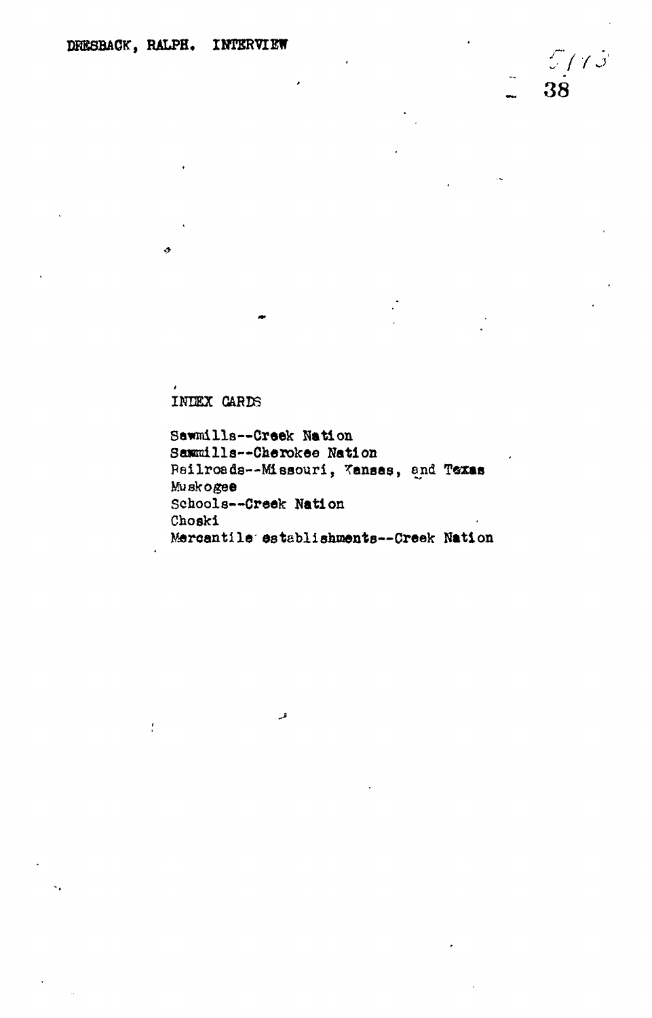INDEX CARDS

 $\ddot{\cdot}$ 

Sawmills--Creek Nation Sammills--Cherokee Nation Psilroads -- Missouri, Kansas, and Texas Muskogee Schools--Creek Nation Choski Mercantile establishments--Creek Nation

فر

 $5/13$ 

 $3\dot{8}$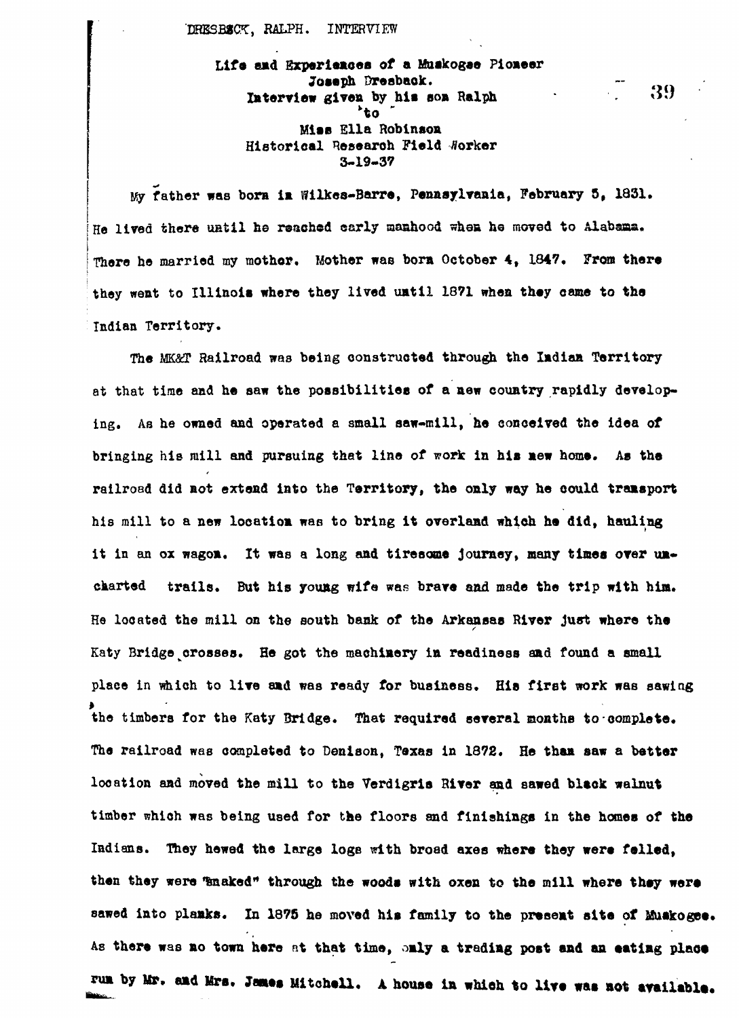**DRESBSCT, RALPH. INTERVIEW**

**Life and Experiences of a Muakogae Pioneer Joseph Dresbaok. -** Interview given by his son Ralph **1989**<br>to **be able of the contract of the contract of the contract of the contract of the contract of the contract of the contract of the contract of the contract of the contract of the con Miss Ella Robinson Historical Research Field Worker 3-19-37**

**My father was born in Wilkes-Barre, Pennsylvania, February 5, 1831,** He lived there until he reached early manhood when he moved to Alabama. **There he married my mother, Mother was bora October 4, 1847, From there they went to Illinois where they lived until 1871 when they came to the Indian Territory.**

**The W.&T Railroad was being constructed through the Indian Territory at that time and he saw the possibilities of a new country rapidly developing. As he owned and operated a small saw-mill, he conceived the idea of bringing his mill and pursuing that line of work in his new home. As the railroad did not extend into the Territory, the only way he could transport his mill to a new location was to bring it overland which he did, hauling** it in an ox wagon. It was a long and tiresome journey, many times over un**charted trails. But his young wife was brave and made the trip with him. He located the mill on the south bask of the Arkansas River just where the** Katy Bridge crosses. He got the machinery in readiness and found a small **place in which to live and was ready for business. His first work was sawing the timbers for the Katy Bridge. That required several months to complete. The railroad was completed to Den1son, Texas in 1372. He than saw a better location and moved the mill to the Verdigris River and sawed black walnut timber which was being used for the floors and finishings in the homes of the** Indians. They hewed the large logs with broad axes where they were felled, then they were **Tanaked"** through the woods with oxen to the mill where they were **sawed into planks. In 1375 he moved his family to the present site of Muskogee. As there was no town here at that time, only a trading post and an •atlng place** run by Mr. and Mrs. James Mitchell. A house in which to live was not available.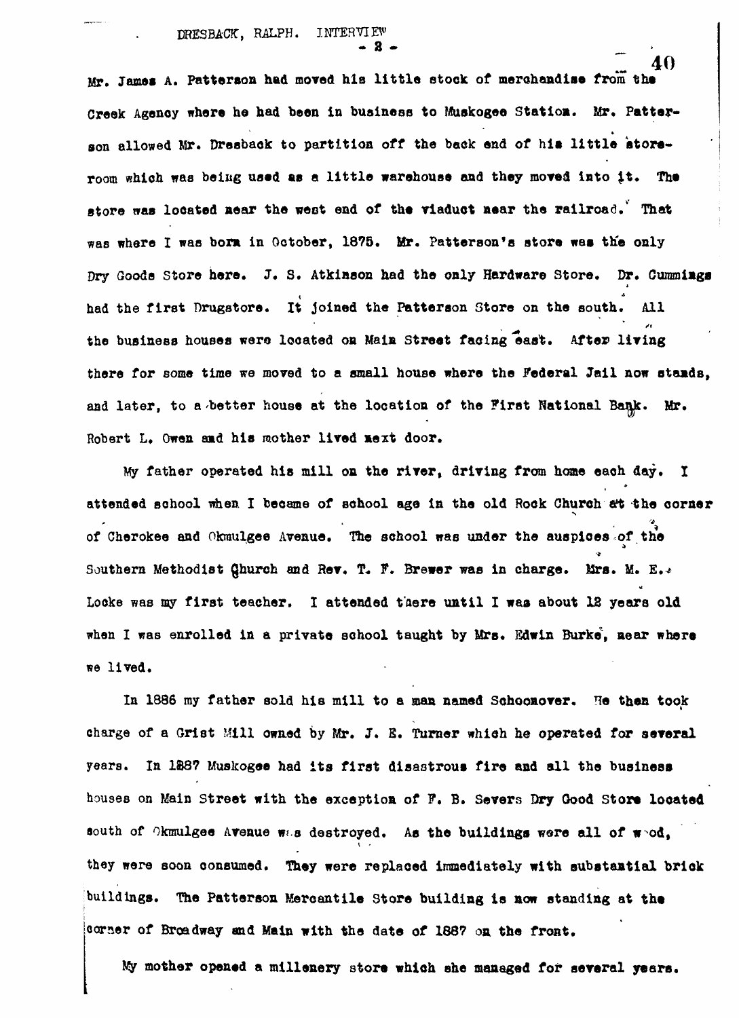Mr. James A. Patterson had moved his little stock of merchandise from the Creek Agency where he had been in business to Muskogee Station. Mr. Patterson allowed Mr. Dresback to partition off the back end of his little atoreroom which was being used as a little warehouse and they moved into it. The store was located near the west end of the viaduct near the railroad. That was where I was born in October, 1875. Mr. Patterson's store was the only Dry Goods Store here. J. S. Atkinson had the only Hardware Store. Dr. Cummings had the first Drugstore. It joined the Patterson Store on the south. All the business houses were located on Main Street facing east. After living there for some time we moved to a small house where the Federal Jail now stands. and later, to a better house at the location of the First National Bank. Mr. **and later, to a better house at the location of the First National Bank. Mr.**

**• 8 - \_**

My father operated his mill on the river, driving from home each day. I attended school when I became of school age in the old Rock Church at the corner at the percent of the school was under the surprises of the corner of the corners of the corners of the corners of the corner of the corner of the corner of the corner of the corner of the corner of the corner of the corne Southern Methodist Qhurch and Rev. T. F. Brewer was in charge. Mrs. M. E. Locke was my first teacher. I attended there until I was about 12 years old when I was enrolled in a private school taught by Mrs. Edwin Burke, mear where **when I was enrolled in a private school taught by Mrs. Edwin Burke School taught by Mrs. Edwin Burke** 

In 1886 my father sold his mill to a man named Schoonover. He then took charge of a Grist Mill owned by Mr. J. E. Turner which he operated for several years. In 1887 Muskogee had its first disastrous fire and all the business houses on Main Street with the exception of F. B. Severs Dry Good Store located south of Okmulgee Avenue was destroyed. As the buildings were all of wod, they were soon consumed. They were replaced immediately with substantial brick buildings. The Patterson Mercantile Store building is now standing at the corner of Broadway and Main with the date of 1887 on the front.

**Jty mother opened a millenery store which she managed for several years.**